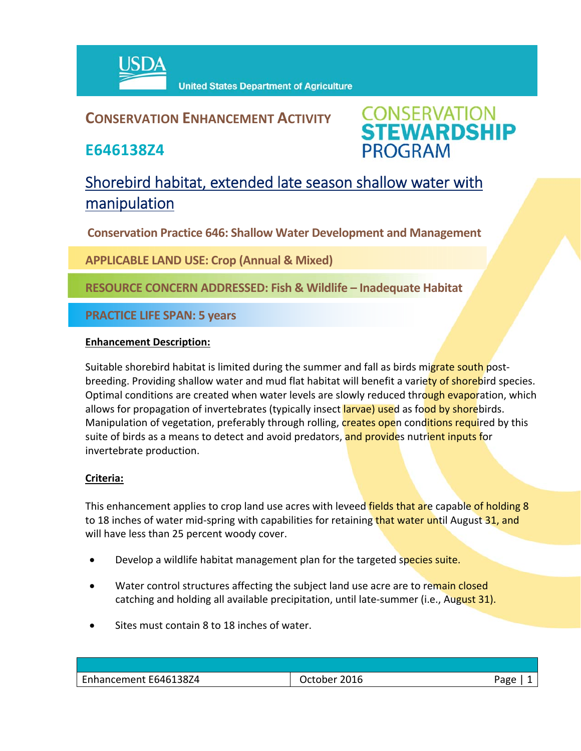

### **CONSERVATION ENHANCEMENT ACTIVITY**

**E646138Z4**



## Shorebird habitat, extended late season shallow water with manipulation

**Conservation Practice 646: Shallow Water Development and Management**

**APPLICABLE LAND USE: Crop (Annual & Mixed)**

**RESOURCE CONCERN ADDRESSED: Fish & Wildlife – Inadequate Habitat**

**PRACTICE LIFE SPAN: 5 years**

#### **Enhancement Description:**

Suitable shorebird habitat is limited during the summer and fall as birds migrate south postbreeding. Providing shallow water and mud flat habitat will benefit a variety of shorebird species. Optimal conditions are created when water levels are slowly reduced through evaporation, which allows for propagation of invertebrates (typically insect larvae) used as food by shorebirds. Manipulation of vegetation, preferably through rolling, **creates ope**n conditions required by this suite of birds as a means to detect and avoid predators, and provides nutrient inputs for invertebrate production.

#### **Criteria:**

This enhancement applies to crop land use acres with leveed fields that are capable of holding 8 to 18 inches of water mid-spring with capabilities for retaining that water until August 31, and will have less than 25 percent woody cover.

- **•** Develop a wildlife habitat management plan for the targeted species suite.
- Water control structures affecting the subject land use acre are to remain closed catching and holding all available precipitation, until late-summer (i.e., August 31).
- Sites must contain 8 to 18 inches of water.

| Enhancement E646138Z4 | 2016<br>October - | חסבי |
|-----------------------|-------------------|------|